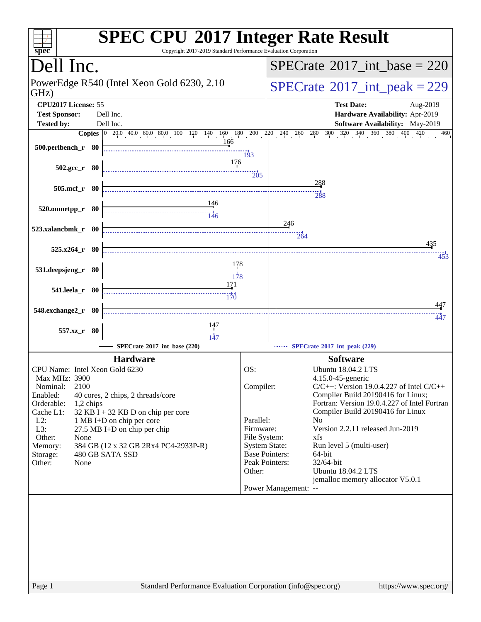| $spec^*$                                                                                                                                                                                                                                                                                                                                                                                                   | <b>SPEC CPU®2017 Integer Rate Result</b><br>Copyright 2017-2019 Standard Performance Evaluation Corporation                                                                                                                                                                                                                                                                                                                                                                                                                                                                    |
|------------------------------------------------------------------------------------------------------------------------------------------------------------------------------------------------------------------------------------------------------------------------------------------------------------------------------------------------------------------------------------------------------------|--------------------------------------------------------------------------------------------------------------------------------------------------------------------------------------------------------------------------------------------------------------------------------------------------------------------------------------------------------------------------------------------------------------------------------------------------------------------------------------------------------------------------------------------------------------------------------|
| Dell Inc.                                                                                                                                                                                                                                                                                                                                                                                                  | $SPECrate^{\circledast}2017$ int base = 220                                                                                                                                                                                                                                                                                                                                                                                                                                                                                                                                    |
| PowerEdge R540 (Intel Xeon Gold 6230, 2.10<br>GHz)                                                                                                                                                                                                                                                                                                                                                         | $SPECTate$ <sup>®</sup> 2017_int_peak = 229                                                                                                                                                                                                                                                                                                                                                                                                                                                                                                                                    |
| CPU2017 License: 55<br><b>Test Sponsor:</b><br>Dell Inc.                                                                                                                                                                                                                                                                                                                                                   | <b>Test Date:</b><br>Aug-2019<br>Hardware Availability: Apr-2019                                                                                                                                                                                                                                                                                                                                                                                                                                                                                                               |
| Dell Inc.<br><b>Tested by:</b>                                                                                                                                                                                                                                                                                                                                                                             | Software Availability: May-2019                                                                                                                                                                                                                                                                                                                                                                                                                                                                                                                                                |
|                                                                                                                                                                                                                                                                                                                                                                                                            | <b>Copies</b> $\begin{bmatrix} 0 & 20.0 & 40.0 & 60.0 & 80.0 & 100 & 120 & 140 & 160 & 180 & 200 & 220 & 240 & 260 & 280 & 300 & 320 & 340 & 360 & 380 & 400 \end{bmatrix}$<br>420<br>460                                                                                                                                                                                                                                                                                                                                                                                      |
| 166<br>500.perlbench_r 80                                                                                                                                                                                                                                                                                                                                                                                  | 193                                                                                                                                                                                                                                                                                                                                                                                                                                                                                                                                                                            |
| 176<br>$502.\text{gcc r}$ 80                                                                                                                                                                                                                                                                                                                                                                               | $\overline{205}$                                                                                                                                                                                                                                                                                                                                                                                                                                                                                                                                                               |
| 505.mcf_r 80                                                                                                                                                                                                                                                                                                                                                                                               | 288<br>288                                                                                                                                                                                                                                                                                                                                                                                                                                                                                                                                                                     |
| 146<br>520.omnetpp_r 80<br>$\frac{11}{146}$                                                                                                                                                                                                                                                                                                                                                                |                                                                                                                                                                                                                                                                                                                                                                                                                                                                                                                                                                                |
| 523.xalancbmk_r 80                                                                                                                                                                                                                                                                                                                                                                                         | 246<br>264                                                                                                                                                                                                                                                                                                                                                                                                                                                                                                                                                                     |
| $525.x264$ $r$ 80                                                                                                                                                                                                                                                                                                                                                                                          | 435<br>453                                                                                                                                                                                                                                                                                                                                                                                                                                                                                                                                                                     |
| 178<br>531.deepsjeng_r 80<br>178                                                                                                                                                                                                                                                                                                                                                                           |                                                                                                                                                                                                                                                                                                                                                                                                                                                                                                                                                                                |
| 171<br>541.leela_r 80<br>170                                                                                                                                                                                                                                                                                                                                                                               |                                                                                                                                                                                                                                                                                                                                                                                                                                                                                                                                                                                |
| 548.exchange2_r 80                                                                                                                                                                                                                                                                                                                                                                                         | 447<br>447                                                                                                                                                                                                                                                                                                                                                                                                                                                                                                                                                                     |
| 557.xz_r 80<br>$\dddot{147}$                                                                                                                                                                                                                                                                                                                                                                               |                                                                                                                                                                                                                                                                                                                                                                                                                                                                                                                                                                                |
| SPECrate®2017_int_base (220)                                                                                                                                                                                                                                                                                                                                                                               | SPECrate®2017_int_peak (229)                                                                                                                                                                                                                                                                                                                                                                                                                                                                                                                                                   |
| <b>Hardware</b>                                                                                                                                                                                                                                                                                                                                                                                            | <b>Software</b>                                                                                                                                                                                                                                                                                                                                                                                                                                                                                                                                                                |
| CPU Name: Intel Xeon Gold 6230<br>Max MHz: 3900<br>2100<br>Nominal:<br>Enabled:<br>40 cores, 2 chips, 2 threads/core<br>Orderable:<br>$1,2$ chips<br>$32$ KB I + 32 KB D on chip per core<br>Cache L1:<br>$L2$ :<br>1 MB I+D on chip per core<br>L3:<br>27.5 MB I+D on chip per chip<br>Other:<br>None<br>384 GB (12 x 32 GB 2Rx4 PC4-2933P-R)<br>Memory:<br>480 GB SATA SSD<br>Storage:<br>Other:<br>None | OS:<br><b>Ubuntu 18.04.2 LTS</b><br>4.15.0-45-generic<br>Compiler:<br>$C/C++$ : Version 19.0.4.227 of Intel $C/C++$<br>Compiler Build 20190416 for Linux;<br>Fortran: Version 19.0.4.227 of Intel Fortran<br>Compiler Build 20190416 for Linux<br>Parallel:<br>N <sub>0</sub><br>Version 2.2.11 released Jun-2019<br>Firmware:<br>File System:<br>xfs<br><b>System State:</b><br>Run level 5 (multi-user)<br><b>Base Pointers:</b><br>64-bit<br>Peak Pointers:<br>32/64-bit<br><b>Ubuntu 18.04.2 LTS</b><br>Other:<br>jemalloc memory allocator V5.0.1<br>Power Management: -- |
| Page 1                                                                                                                                                                                                                                                                                                                                                                                                     | Standard Performance Evaluation Corporation (info@spec.org)<br>https://www.spec.org/                                                                                                                                                                                                                                                                                                                                                                                                                                                                                           |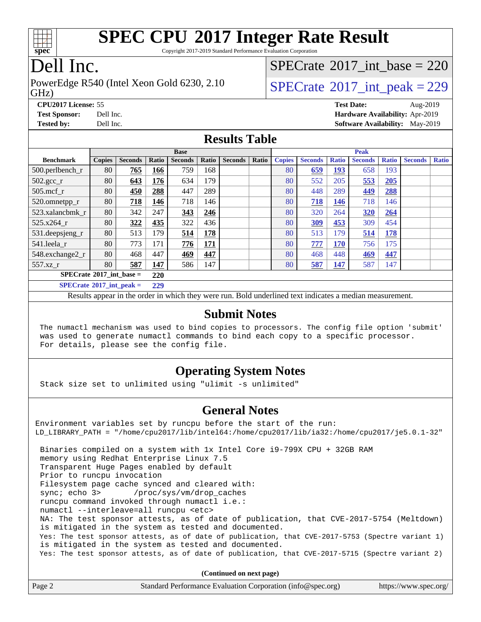

Copyright 2017-2019 Standard Performance Evaluation Corporation

### Dell Inc.

PowerEdge R540 (Intel Xeon Gold 6230, 2.10  $\vert$  [SPECrate](http://www.spec.org/auto/cpu2017/Docs/result-fields.html#SPECrate2017intpeak) [2017\\_int\\_peak = 2](http://www.spec.org/auto/cpu2017/Docs/result-fields.html#SPECrate2017intpeak)29

## $SPECrate$ <sup>®</sup>[2017\\_int\\_base =](http://www.spec.org/auto/cpu2017/Docs/result-fields.html#SPECrate2017intbase) 220

GHz)

**[CPU2017 License:](http://www.spec.org/auto/cpu2017/Docs/result-fields.html#CPU2017License)** 55 **[Test Date:](http://www.spec.org/auto/cpu2017/Docs/result-fields.html#TestDate)** Aug-2019 **[Test Sponsor:](http://www.spec.org/auto/cpu2017/Docs/result-fields.html#TestSponsor)** Dell Inc. **[Hardware Availability:](http://www.spec.org/auto/cpu2017/Docs/result-fields.html#HardwareAvailability)** Apr-2019 **[Tested by:](http://www.spec.org/auto/cpu2017/Docs/result-fields.html#Testedby)** Dell Inc. **[Software Availability:](http://www.spec.org/auto/cpu2017/Docs/result-fields.html#SoftwareAvailability)** May-2019

#### **[Results Table](http://www.spec.org/auto/cpu2017/Docs/result-fields.html#ResultsTable)**

|                                   | <b>Base</b>   |                |       |                | <b>Peak</b> |                |       |               |                |              |                |              |                |              |
|-----------------------------------|---------------|----------------|-------|----------------|-------------|----------------|-------|---------------|----------------|--------------|----------------|--------------|----------------|--------------|
| <b>Benchmark</b>                  | <b>Copies</b> | <b>Seconds</b> | Ratio | <b>Seconds</b> | Ratio       | <b>Seconds</b> | Ratio | <b>Copies</b> | <b>Seconds</b> | <b>Ratio</b> | <b>Seconds</b> | <b>Ratio</b> | <b>Seconds</b> | <b>Ratio</b> |
| 500.perlbench_r                   | 80            | 765            | 166   | 759            | 168         |                |       | 80            | 659            | 193          | 658            | 193          |                |              |
| $502.\text{gcc}$ <sub>r</sub>     | 80            | 643            | 176   | 634            | 179         |                |       | 80            | 552            | 205          | 553            | 205          |                |              |
| $505$ .mcf r                      | 80            | 450            | 288   | 447            | 289         |                |       | 80            | 448            | 289          | 449            | <b>288</b>   |                |              |
| 520.omnetpp_r                     | 80            | 718            | 146   | 718            | 146         |                |       | 80            | 718            | 146          | 718            | 146          |                |              |
| 523.xalancbmk_r                   | 80            | 342            | 247   | 343            | 246         |                |       | 80            | 320            | 264          | 320            | 264          |                |              |
| 525.x264 r                        | 80            | 322            | 435   | 322            | 436         |                |       | 80            | 309            | 453          | 309            | 454          |                |              |
| 531.deepsjeng_r                   | 80            | 513            | 179   | 514            | 178         |                |       | 80            | 513            | 179          | 514            | 178          |                |              |
| 541.leela r                       | 80            | 773            | 171   | 776            | 171         |                |       | 80            | 777            | 170          | 756            | 175          |                |              |
| 548.exchange2_r                   | 80            | 468            | 447   | 469            | 447         |                |       | 80            | 468            | 448          | 469            | 447          |                |              |
| 557.xz r                          | 80            | 587            | 147   | 586            | 147         |                |       | 80            | 587            | 147          | 587            | 147          |                |              |
| $SPECrate^{\circ}2017$ int base = |               |                | 220   |                |             |                |       |               |                |              |                |              |                |              |
| $SPECrate^{\circ}2017$ int peak = |               |                | 229   |                |             |                |       |               |                |              |                |              |                |              |

Results appear in the [order in which they were run](http://www.spec.org/auto/cpu2017/Docs/result-fields.html#RunOrder). Bold underlined text [indicates a median measurement](http://www.spec.org/auto/cpu2017/Docs/result-fields.html#Median).

#### **[Submit Notes](http://www.spec.org/auto/cpu2017/Docs/result-fields.html#SubmitNotes)**

 The numactl mechanism was used to bind copies to processors. The config file option 'submit' was used to generate numactl commands to bind each copy to a specific processor. For details, please see the config file.

#### **[Operating System Notes](http://www.spec.org/auto/cpu2017/Docs/result-fields.html#OperatingSystemNotes)**

Stack size set to unlimited using "ulimit -s unlimited"

#### **[General Notes](http://www.spec.org/auto/cpu2017/Docs/result-fields.html#GeneralNotes)**

Environment variables set by runcpu before the start of the run: LD\_LIBRARY\_PATH = "/home/cpu2017/lib/intel64:/home/cpu2017/lib/ia32:/home/cpu2017/je5.0.1-32" Binaries compiled on a system with 1x Intel Core i9-799X CPU + 32GB RAM memory using Redhat Enterprise Linux 7.5 Transparent Huge Pages enabled by default Prior to runcpu invocation Filesystem page cache synced and cleared with: sync; echo 3> /proc/sys/vm/drop\_caches runcpu command invoked through numactl i.e.: numactl --interleave=all runcpu <etc> NA: The test sponsor attests, as of date of publication, that CVE-2017-5754 (Meltdown) is mitigated in the system as tested and documented. Yes: The test sponsor attests, as of date of publication, that CVE-2017-5753 (Spectre variant 1) is mitigated in the system as tested and documented. Yes: The test sponsor attests, as of date of publication, that CVE-2017-5715 (Spectre variant 2)

**(Continued on next page)**

| Page 2<br>Standard Performance Evaluation Corporation (info@spec.org)<br>https://www.spec.org/ |  |
|------------------------------------------------------------------------------------------------|--|
|------------------------------------------------------------------------------------------------|--|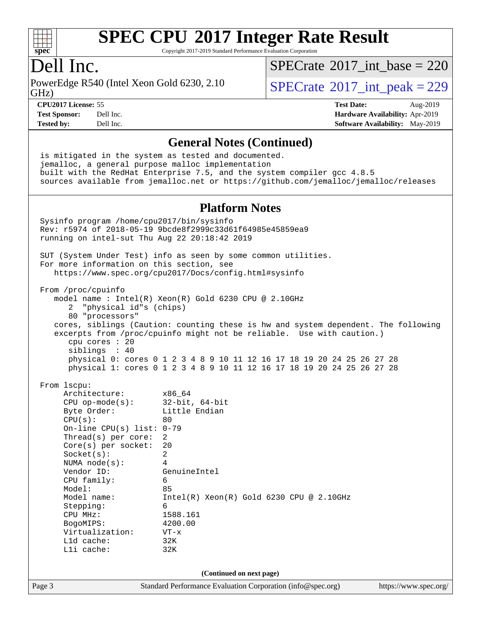

Copyright 2017-2019 Standard Performance Evaluation Corporation

### Dell Inc.

PowerEdge R540 (Intel Xeon Gold 6230, 2.10)<br>GHz)

[SPECrate](http://www.spec.org/auto/cpu2017/Docs/result-fields.html#SPECrate2017intbase)<sup>®</sup>2017 int\_base = 220

 $SPECTate  $2017$  int peak = 229$ 

**[CPU2017 License:](http://www.spec.org/auto/cpu2017/Docs/result-fields.html#CPU2017License)** 55 **[Test Date:](http://www.spec.org/auto/cpu2017/Docs/result-fields.html#TestDate)** Aug-2019 **[Test Sponsor:](http://www.spec.org/auto/cpu2017/Docs/result-fields.html#TestSponsor)** Dell Inc. **[Hardware Availability:](http://www.spec.org/auto/cpu2017/Docs/result-fields.html#HardwareAvailability)** Apr-2019 **[Tested by:](http://www.spec.org/auto/cpu2017/Docs/result-fields.html#Testedby)** Dell Inc. **[Software Availability:](http://www.spec.org/auto/cpu2017/Docs/result-fields.html#SoftwareAvailability)** May-2019

#### **[General Notes \(Continued\)](http://www.spec.org/auto/cpu2017/Docs/result-fields.html#GeneralNotes)**

 is mitigated in the system as tested and documented. jemalloc, a general purpose malloc implementation built with the RedHat Enterprise 7.5, and the system compiler gcc 4.8.5 sources available from jemalloc.net or <https://github.com/jemalloc/jemalloc/releases>

#### **[Platform Notes](http://www.spec.org/auto/cpu2017/Docs/result-fields.html#PlatformNotes)**

Page 3 Standard Performance Evaluation Corporation [\(info@spec.org\)](mailto:info@spec.org) <https://www.spec.org/> Sysinfo program /home/cpu2017/bin/sysinfo Rev: r5974 of 2018-05-19 9bcde8f2999c33d61f64985e45859ea9 running on intel-sut Thu Aug 22 20:18:42 2019 SUT (System Under Test) info as seen by some common utilities. For more information on this section, see <https://www.spec.org/cpu2017/Docs/config.html#sysinfo> From /proc/cpuinfo model name : Intel(R) Xeon(R) Gold 6230 CPU @ 2.10GHz 2 "physical id"s (chips) 80 "processors" cores, siblings (Caution: counting these is hw and system dependent. The following excerpts from /proc/cpuinfo might not be reliable. Use with caution.) cpu cores : 20 siblings : 40 physical 0: cores 0 1 2 3 4 8 9 10 11 12 16 17 18 19 20 24 25 26 27 28 physical 1: cores 0 1 2 3 4 8 9 10 11 12 16 17 18 19 20 24 25 26 27 28 From lscpu: Architecture: x86\_64 CPU op-mode(s): 32-bit, 64-bit Byte Order: Little Endian  $CPU(s):$  80 On-line CPU(s) list: 0-79 Thread(s) per core: 2 Core(s) per socket: 20 Socket(s): 2 NUMA node(s): 4 Vendor ID: GenuineIntel CPU family: 6 Model: 85 Model name: Intel(R) Xeon(R) Gold 6230 CPU @ 2.10GHz Stepping: 6 CPU MHz: 1588.161 BogoMIPS: 4200.00 Virtualization: VT-x L1d cache: 32K L1i cache: 32K **(Continued on next page)**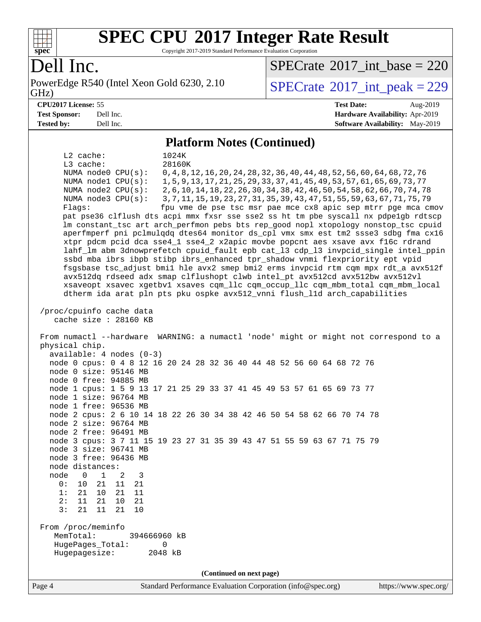

Copyright 2017-2019 Standard Performance Evaluation Corporation

### Dell Inc.

PowerEdge R540 (Intel Xeon Gold 6230, 2.10)<br>GHz)

 $SPECTate$ <sup>®</sup>[2017\\_int\\_base =](http://www.spec.org/auto/cpu2017/Docs/result-fields.html#SPECrate2017intbase) 220

 $SPECTate  $2017$  int peak = 229$ 

#### **[CPU2017 License:](http://www.spec.org/auto/cpu2017/Docs/result-fields.html#CPU2017License)** 55 **[Test Date:](http://www.spec.org/auto/cpu2017/Docs/result-fields.html#TestDate)** Aug-2019 **[Test Sponsor:](http://www.spec.org/auto/cpu2017/Docs/result-fields.html#TestSponsor)** Dell Inc. **[Hardware Availability:](http://www.spec.org/auto/cpu2017/Docs/result-fields.html#HardwareAvailability)** Apr-2019 **[Tested by:](http://www.spec.org/auto/cpu2017/Docs/result-fields.html#Testedby)** Dell Inc. **[Software Availability:](http://www.spec.org/auto/cpu2017/Docs/result-fields.html#SoftwareAvailability)** May-2019

#### **[Platform Notes \(Continued\)](http://www.spec.org/auto/cpu2017/Docs/result-fields.html#PlatformNotes)**

 L2 cache: 1024K L3 cache: 28160K NUMA node0 CPU(s): 0,4,8,12,16,20,24,28,32,36,40,44,48,52,56,60,64,68,72,76 NUMA node1 CPU(s): 1,5,9,13,17,21,25,29,33,37,41,45,49,53,57,61,65,69,73,77 NUMA node2 CPU(s): 2,6,10,14,18,22,26,30,34,38,42,46,50,54,58,62,66,70,74,78 NUMA node3 CPU(s): 3,7,11,15,19,23,27,31,35,39,43,47,51,55,59,63,67,71,75,79 Flags: fpu vme de pse tsc msr pae mce cx8 apic sep mtrr pge mca cmov pat pse36 clflush dts acpi mmx fxsr sse sse2 ss ht tm pbe syscall nx pdpe1gb rdtscp lm constant\_tsc art arch\_perfmon pebs bts rep\_good nopl xtopology nonstop\_tsc cpuid aperfmperf pni pclmulqdq dtes64 monitor ds\_cpl vmx smx est tm2 ssse3 sdbg fma cx16 xtpr pdcm pcid dca sse4\_1 sse4\_2 x2apic movbe popcnt aes xsave avx f16c rdrand lahf\_lm abm 3dnowprefetch cpuid\_fault epb cat\_l3 cdp\_l3 invpcid\_single intel\_ppin ssbd mba ibrs ibpb stibp ibrs\_enhanced tpr\_shadow vnmi flexpriority ept vpid fsgsbase tsc\_adjust bmi1 hle avx2 smep bmi2 erms invpcid rtm cqm mpx rdt\_a avx512f avx512dq rdseed adx smap clflushopt clwb intel\_pt avx512cd avx512bw avx512vl xsaveopt xsavec xgetbv1 xsaves cqm\_llc cqm\_occup\_llc cqm\_mbm\_total cqm\_mbm\_local dtherm ida arat pln pts pku ospke avx512\_vnni flush\_l1d arch\_capabilities /proc/cpuinfo cache data cache size : 28160 KB From numactl --hardware WARNING: a numactl 'node' might or might not correspond to a physical chip. available: 4 nodes (0-3) node 0 cpus: 0 4 8 12 16 20 24 28 32 36 40 44 48 52 56 60 64 68 72 76 node 0 size: 95146 MB node 0 free: 94885 MB node 1 cpus: 1 5 9 13 17 21 25 29 33 37 41 45 49 53 57 61 65 69 73 77 node 1 size: 96764 MB node 1 free: 96536 MB node 2 cpus: 2 6 10 14 18 22 26 30 34 38 42 46 50 54 58 62 66 70 74 78 node 2 size: 96764 MB node 2 free: 96491 MB node 3 cpus: 3 7 11 15 19 23 27 31 35 39 43 47 51 55 59 63 67 71 75 79 node 3 size: 96741 MB node 3 free: 96436 MB node distances: node 0 1 2 3 0: 10 21 11 21 1: 21 10 21 11 2: 11 21 10 21 3: 21 11 21 10 From /proc/meminfo MemTotal: 394666960 kB HugePages\_Total: 0 Hugepagesize: 2048 kB **(Continued on next page)**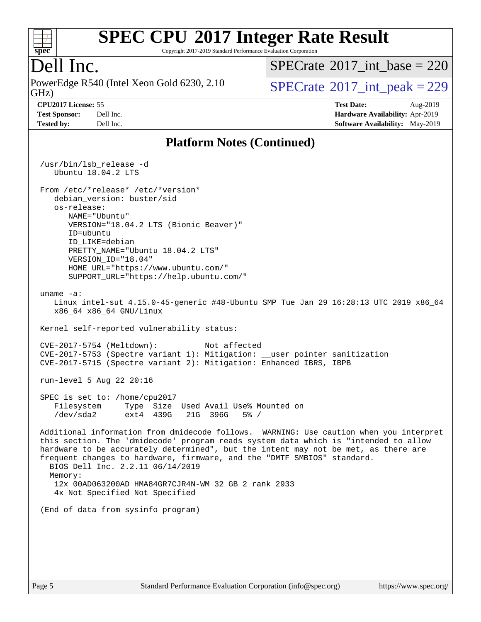

Copyright 2017-2019 Standard Performance Evaluation Corporation

### Dell Inc.

PowerEdge R540 (Intel Xeon Gold 6230, 2.10)<br>GHz)

 $SPECTate$ <sup>®</sup>[2017\\_int\\_base =](http://www.spec.org/auto/cpu2017/Docs/result-fields.html#SPECrate2017intbase) 220

**[Tested by:](http://www.spec.org/auto/cpu2017/Docs/result-fields.html#Testedby)** Dell Inc. **[Software Availability:](http://www.spec.org/auto/cpu2017/Docs/result-fields.html#SoftwareAvailability)** May-2019

 $SPECTate  $2017$  int peak = 229$ 

**[CPU2017 License:](http://www.spec.org/auto/cpu2017/Docs/result-fields.html#CPU2017License)** 55 **[Test Date:](http://www.spec.org/auto/cpu2017/Docs/result-fields.html#TestDate)** Aug-2019 **[Test Sponsor:](http://www.spec.org/auto/cpu2017/Docs/result-fields.html#TestSponsor)** Dell Inc. **[Hardware Availability:](http://www.spec.org/auto/cpu2017/Docs/result-fields.html#HardwareAvailability)** Apr-2019

#### **[Platform Notes \(Continued\)](http://www.spec.org/auto/cpu2017/Docs/result-fields.html#PlatformNotes)**

 /usr/bin/lsb\_release -d Ubuntu 18.04.2 LTS From /etc/\*release\* /etc/\*version\* debian version: buster/sid os-release: NAME="Ubuntu" VERSION="18.04.2 LTS (Bionic Beaver)" ID=ubuntu ID\_LIKE=debian PRETTY\_NAME="Ubuntu 18.04.2 LTS" VERSION\_ID="18.04" HOME\_URL="<https://www.ubuntu.com/"> SUPPORT\_URL="<https://help.ubuntu.com/"> uname -a: Linux intel-sut 4.15.0-45-generic #48-Ubuntu SMP Tue Jan 29 16:28:13 UTC 2019 x86\_64 x86\_64 x86\_64 GNU/Linux Kernel self-reported vulnerability status: CVE-2017-5754 (Meltdown): Not affected CVE-2017-5753 (Spectre variant 1): Mitigation: \_\_user pointer sanitization CVE-2017-5715 (Spectre variant 2): Mitigation: Enhanced IBRS, IBPB run-level 5 Aug 22 20:16 SPEC is set to: /home/cpu2017 Filesystem Type Size Used Avail Use% Mounted on /dev/sda2 ext4 439G 21G 396G 5% / Additional information from dmidecode follows. WARNING: Use caution when you interpret this section. The 'dmidecode' program reads system data which is "intended to allow hardware to be accurately determined", but the intent may not be met, as there are frequent changes to hardware, firmware, and the "DMTF SMBIOS" standard. BIOS Dell Inc. 2.2.11 06/14/2019 Memory: 12x 00AD063200AD HMA84GR7CJR4N-WM 32 GB 2 rank 2933 4x Not Specified Not Specified (End of data from sysinfo program)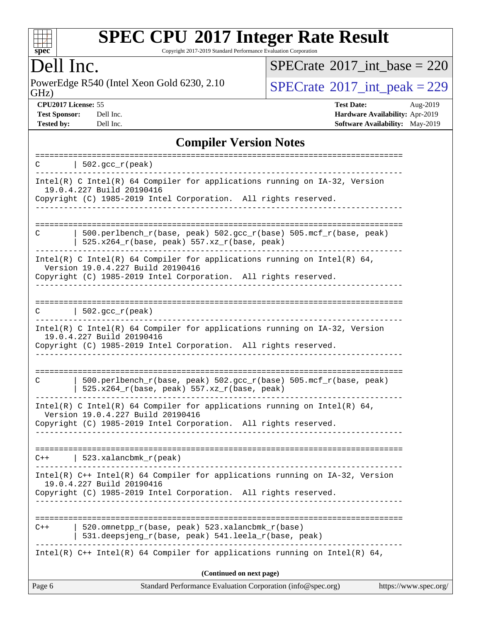

Copyright 2017-2019 Standard Performance Evaluation Corporation

Dell Inc.<br>PowerEdge R540 (Intel Xeon Gold 6230, 2.10) GHz)

 $SPECrate$ <sup>®</sup>[2017\\_int\\_base =](http://www.spec.org/auto/cpu2017/Docs/result-fields.html#SPECrate2017intbase) 220

 $SPECTate$ <sup>®</sup>[2017\\_int\\_peak = 2](http://www.spec.org/auto/cpu2017/Docs/result-fields.html#SPECrate2017intpeak)29

**[CPU2017 License:](http://www.spec.org/auto/cpu2017/Docs/result-fields.html#CPU2017License)** 55 **[Test Date:](http://www.spec.org/auto/cpu2017/Docs/result-fields.html#TestDate)** Aug-2019 **[Test Sponsor:](http://www.spec.org/auto/cpu2017/Docs/result-fields.html#TestSponsor)** Dell Inc. **[Hardware Availability:](http://www.spec.org/auto/cpu2017/Docs/result-fields.html#HardwareAvailability)** Apr-2019 **[Tested by:](http://www.spec.org/auto/cpu2017/Docs/result-fields.html#Testedby)** Dell Inc. Dell Inc. **[Software Availability:](http://www.spec.org/auto/cpu2017/Docs/result-fields.html#SoftwareAvailability)** May-2019

### **[Compiler Version Notes](http://www.spec.org/auto/cpu2017/Docs/result-fields.html#CompilerVersionNotes)**

| Intel(R) C Intel(R) 64 Compiler for applications running on IA-32, Version<br>19.0.4.227 Build 20190416<br>Copyright (C) 1985-2019 Intel Corporation. All rights reserved.<br>500.perlbench_r(base, peak) 502.gcc_r(base) 505.mcf_r(base, peak)<br>С<br>$525.x264_r(base, peak) 557.xz_r(base, peak)$<br>Intel(R) C Intel(R) 64 Compiler for applications running on Intel(R) 64,<br>Version 19.0.4.227 Build 20190416<br>Copyright (C) 1985-2019 Intel Corporation. All rights reserved.<br>$\vert$ 502.gcc_r(peak)<br>C<br>Intel(R) C Intel(R) 64 Compiler for applications running on IA-32, Version<br>19.0.4.227 Build 20190416<br>Copyright (C) 1985-2019 Intel Corporation. All rights reserved.<br>-----------------<br>500.perlbench_r(base, peak) 502.gcc_r(base) 505.mcf_r(base, peak)<br>C<br>525.x264_r(base, peak) 557.xz_r(base, peak)<br>Intel(R) C Intel(R) 64 Compiler for applications running on Intel(R) 64,<br>Version 19.0.4.227 Build 20190416<br>Copyright (C) 1985-2019 Intel Corporation. All rights reserved.<br>$C++$   523.xalancbmk $r(\text{peak})$<br>Intel(R) C++ Intel(R) 64 Compiler for applications running on IA-32, Version<br>19.0.4.227 Build 20190416<br>Copyright (C) 1985-2019 Intel Corporation. All rights reserved.<br>520.omnetpp_r(base, peak) 523.xalancbmk_r(base)<br>$C++$<br>531.deepsjeng_r(base, peak) 541.leela_r(base, peak)<br>Intel(R) $C++$ Intel(R) 64 Compiler for applications running on Intel(R) 64, | ===========================<br>$  502.\text{gcc_r(peak)}$<br>C. |
|------------------------------------------------------------------------------------------------------------------------------------------------------------------------------------------------------------------------------------------------------------------------------------------------------------------------------------------------------------------------------------------------------------------------------------------------------------------------------------------------------------------------------------------------------------------------------------------------------------------------------------------------------------------------------------------------------------------------------------------------------------------------------------------------------------------------------------------------------------------------------------------------------------------------------------------------------------------------------------------------------------------------------------------------------------------------------------------------------------------------------------------------------------------------------------------------------------------------------------------------------------------------------------------------------------------------------------------------------------------------------------------------------------------------------------------------------------------------|-----------------------------------------------------------------|
|                                                                                                                                                                                                                                                                                                                                                                                                                                                                                                                                                                                                                                                                                                                                                                                                                                                                                                                                                                                                                                                                                                                                                                                                                                                                                                                                                                                                                                                                        |                                                                 |
|                                                                                                                                                                                                                                                                                                                                                                                                                                                                                                                                                                                                                                                                                                                                                                                                                                                                                                                                                                                                                                                                                                                                                                                                                                                                                                                                                                                                                                                                        |                                                                 |
|                                                                                                                                                                                                                                                                                                                                                                                                                                                                                                                                                                                                                                                                                                                                                                                                                                                                                                                                                                                                                                                                                                                                                                                                                                                                                                                                                                                                                                                                        |                                                                 |
|                                                                                                                                                                                                                                                                                                                                                                                                                                                                                                                                                                                                                                                                                                                                                                                                                                                                                                                                                                                                                                                                                                                                                                                                                                                                                                                                                                                                                                                                        |                                                                 |
|                                                                                                                                                                                                                                                                                                                                                                                                                                                                                                                                                                                                                                                                                                                                                                                                                                                                                                                                                                                                                                                                                                                                                                                                                                                                                                                                                                                                                                                                        |                                                                 |
|                                                                                                                                                                                                                                                                                                                                                                                                                                                                                                                                                                                                                                                                                                                                                                                                                                                                                                                                                                                                                                                                                                                                                                                                                                                                                                                                                                                                                                                                        |                                                                 |
|                                                                                                                                                                                                                                                                                                                                                                                                                                                                                                                                                                                                                                                                                                                                                                                                                                                                                                                                                                                                                                                                                                                                                                                                                                                                                                                                                                                                                                                                        |                                                                 |
|                                                                                                                                                                                                                                                                                                                                                                                                                                                                                                                                                                                                                                                                                                                                                                                                                                                                                                                                                                                                                                                                                                                                                                                                                                                                                                                                                                                                                                                                        |                                                                 |
|                                                                                                                                                                                                                                                                                                                                                                                                                                                                                                                                                                                                                                                                                                                                                                                                                                                                                                                                                                                                                                                                                                                                                                                                                                                                                                                                                                                                                                                                        |                                                                 |
|                                                                                                                                                                                                                                                                                                                                                                                                                                                                                                                                                                                                                                                                                                                                                                                                                                                                                                                                                                                                                                                                                                                                                                                                                                                                                                                                                                                                                                                                        |                                                                 |
|                                                                                                                                                                                                                                                                                                                                                                                                                                                                                                                                                                                                                                                                                                                                                                                                                                                                                                                                                                                                                                                                                                                                                                                                                                                                                                                                                                                                                                                                        |                                                                 |
| (Continued on next page)<br>Standard Performance Evaluation Corporation (info@spec.org)<br>https://www.spec.org/<br>Page 6                                                                                                                                                                                                                                                                                                                                                                                                                                                                                                                                                                                                                                                                                                                                                                                                                                                                                                                                                                                                                                                                                                                                                                                                                                                                                                                                             |                                                                 |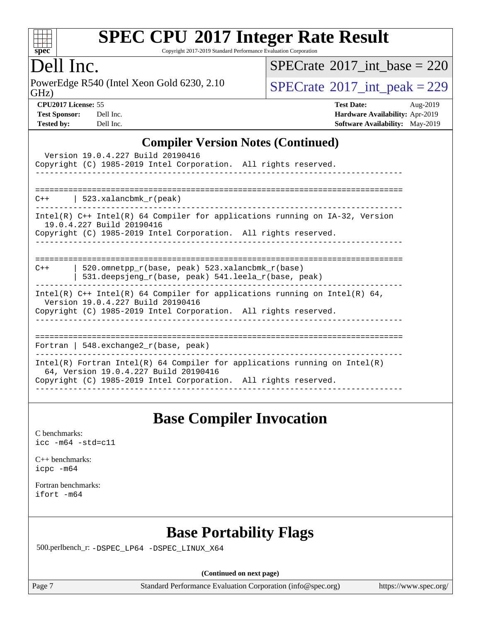

Copyright 2017-2019 Standard Performance Evaluation Corporation

### Dell Inc.

GHz) PowerEdge R540 (Intel Xeon Gold 6230, 2.10  $SPECrate@2017\_int\_peak = 229$  $SPECrate@2017\_int\_peak = 229$ 

 $SPECrate$ <sup>®</sup>[2017\\_int\\_base =](http://www.spec.org/auto/cpu2017/Docs/result-fields.html#SPECrate2017intbase) 220

| <b>Test Sponsor:</b> | Dell In |
|----------------------|---------|
| <b>Tested by:</b>    | Dell In |

**[CPU2017 License:](http://www.spec.org/auto/cpu2017/Docs/result-fields.html#CPU2017License)** 55 **[Test Date:](http://www.spec.org/auto/cpu2017/Docs/result-fields.html#TestDate)** Aug-2019 **[Test Sponsor:](http://www.spec.org/auto/cpu2017/Docs/result-fields.html#TestSponsor) [Hardware Availability:](http://www.spec.org/auto/cpu2017/Docs/result-fields.html#HardwareAvailability)** Apr-2019 **[Tested by:](http://www.spec.org/auto/cpu2017/Docs/result-fields.html#Testedby) [Software Availability:](http://www.spec.org/auto/cpu2017/Docs/result-fields.html#SoftwareAvailability)** May-2019

#### **[Compiler Version Notes \(Continued\)](http://www.spec.org/auto/cpu2017/Docs/result-fields.html#CompilerVersionNotes)**

| Version 19.0.4.227 Build 20190416<br>Copyright (C) 1985-2019 Intel Corporation. All rights reserved.                                                                                   |  |  |  |  |  |
|----------------------------------------------------------------------------------------------------------------------------------------------------------------------------------------|--|--|--|--|--|
|                                                                                                                                                                                        |  |  |  |  |  |
| $C++$   523.xalancbmk $r(\text{peak})$                                                                                                                                                 |  |  |  |  |  |
| Intel(R) $C++$ Intel(R) 64 Compiler for applications running on $IA-32$ , Version<br>19.0.4.227 Build 20190416<br>Copyright (C) 1985-2019 Intel Corporation. All rights reserved.      |  |  |  |  |  |
| 520.omnetpp $r(base, peak)$ 523.xalancbmk $r(base)$<br>$C++$<br>531.deepsjeng_r(base, peak) 541.leela_r(base, peak)                                                                    |  |  |  |  |  |
| Intel(R) $C++$ Intel(R) 64 Compiler for applications running on Intel(R) 64,<br>Version 19.0.4.227 Build 20190416<br>Copyright (C) 1985-2019 Intel Corporation. All rights reserved.   |  |  |  |  |  |
| Fortran   548. $exchange2 r(base, peak)$                                                                                                                                               |  |  |  |  |  |
| Intel(R) Fortran Intel(R) 64 Compiler for applications running on Intel(R)<br>64, Version 19.0.4.227 Build 20190416<br>Copyright (C) 1985-2019 Intel Corporation. All rights reserved. |  |  |  |  |  |

### **[Base Compiler Invocation](http://www.spec.org/auto/cpu2017/Docs/result-fields.html#BaseCompilerInvocation)**

[C benchmarks](http://www.spec.org/auto/cpu2017/Docs/result-fields.html#Cbenchmarks): [icc -m64 -std=c11](http://www.spec.org/cpu2017/results/res2019q3/cpu2017-20190831-17316.flags.html#user_CCbase_intel_icc_64bit_c11_33ee0cdaae7deeeab2a9725423ba97205ce30f63b9926c2519791662299b76a0318f32ddfffdc46587804de3178b4f9328c46fa7c2b0cd779d7a61945c91cd35)

[C++ benchmarks:](http://www.spec.org/auto/cpu2017/Docs/result-fields.html#CXXbenchmarks) [icpc -m64](http://www.spec.org/cpu2017/results/res2019q3/cpu2017-20190831-17316.flags.html#user_CXXbase_intel_icpc_64bit_4ecb2543ae3f1412ef961e0650ca070fec7b7afdcd6ed48761b84423119d1bf6bdf5cad15b44d48e7256388bc77273b966e5eb805aefd121eb22e9299b2ec9d9)

[Fortran benchmarks](http://www.spec.org/auto/cpu2017/Docs/result-fields.html#Fortranbenchmarks): [ifort -m64](http://www.spec.org/cpu2017/results/res2019q3/cpu2017-20190831-17316.flags.html#user_FCbase_intel_ifort_64bit_24f2bb282fbaeffd6157abe4f878425411749daecae9a33200eee2bee2fe76f3b89351d69a8130dd5949958ce389cf37ff59a95e7a40d588e8d3a57e0c3fd751)

### **[Base Portability Flags](http://www.spec.org/auto/cpu2017/Docs/result-fields.html#BasePortabilityFlags)**

500.perlbench\_r: [-DSPEC\\_LP64](http://www.spec.org/cpu2017/results/res2019q3/cpu2017-20190831-17316.flags.html#b500.perlbench_r_basePORTABILITY_DSPEC_LP64) [-DSPEC\\_LINUX\\_X64](http://www.spec.org/cpu2017/results/res2019q3/cpu2017-20190831-17316.flags.html#b500.perlbench_r_baseCPORTABILITY_DSPEC_LINUX_X64)

**(Continued on next page)**

Page 7 Standard Performance Evaluation Corporation [\(info@spec.org\)](mailto:info@spec.org) <https://www.spec.org/>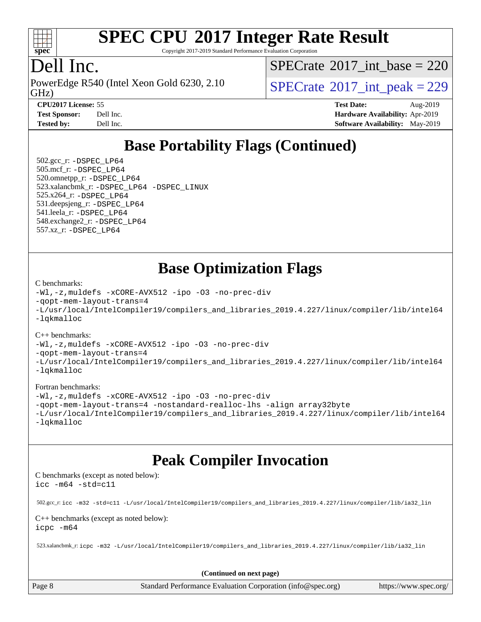

Copyright 2017-2019 Standard Performance Evaluation Corporation

### Dell Inc.

PowerEdge R540 (Intel Xeon Gold 6230, 2.10)<br>GHz)

 $SPECTate$ <sup>®</sup>[2017\\_int\\_base =](http://www.spec.org/auto/cpu2017/Docs/result-fields.html#SPECrate2017intbase) 220

 $SPECTate  $2017$  int peak = 229$ 

**[CPU2017 License:](http://www.spec.org/auto/cpu2017/Docs/result-fields.html#CPU2017License)** 55 **[Test Date:](http://www.spec.org/auto/cpu2017/Docs/result-fields.html#TestDate)** Aug-2019 **[Test Sponsor:](http://www.spec.org/auto/cpu2017/Docs/result-fields.html#TestSponsor)** Dell Inc. **[Hardware Availability:](http://www.spec.org/auto/cpu2017/Docs/result-fields.html#HardwareAvailability)** Apr-2019 **[Tested by:](http://www.spec.org/auto/cpu2017/Docs/result-fields.html#Testedby)** Dell Inc. **[Software Availability:](http://www.spec.org/auto/cpu2017/Docs/result-fields.html#SoftwareAvailability)** May-2019

## **[Base Portability Flags \(Continued\)](http://www.spec.org/auto/cpu2017/Docs/result-fields.html#BasePortabilityFlags)**

 502.gcc\_r: [-DSPEC\\_LP64](http://www.spec.org/cpu2017/results/res2019q3/cpu2017-20190831-17316.flags.html#suite_basePORTABILITY502_gcc_r_DSPEC_LP64) 505.mcf\_r: [-DSPEC\\_LP64](http://www.spec.org/cpu2017/results/res2019q3/cpu2017-20190831-17316.flags.html#suite_basePORTABILITY505_mcf_r_DSPEC_LP64) 520.omnetpp\_r: [-DSPEC\\_LP64](http://www.spec.org/cpu2017/results/res2019q3/cpu2017-20190831-17316.flags.html#suite_basePORTABILITY520_omnetpp_r_DSPEC_LP64) 523.xalancbmk\_r: [-DSPEC\\_LP64](http://www.spec.org/cpu2017/results/res2019q3/cpu2017-20190831-17316.flags.html#suite_basePORTABILITY523_xalancbmk_r_DSPEC_LP64) [-DSPEC\\_LINUX](http://www.spec.org/cpu2017/results/res2019q3/cpu2017-20190831-17316.flags.html#b523.xalancbmk_r_baseCXXPORTABILITY_DSPEC_LINUX) 525.x264\_r: [-DSPEC\\_LP64](http://www.spec.org/cpu2017/results/res2019q3/cpu2017-20190831-17316.flags.html#suite_basePORTABILITY525_x264_r_DSPEC_LP64) 531.deepsjeng\_r: [-DSPEC\\_LP64](http://www.spec.org/cpu2017/results/res2019q3/cpu2017-20190831-17316.flags.html#suite_basePORTABILITY531_deepsjeng_r_DSPEC_LP64) 541.leela\_r: [-DSPEC\\_LP64](http://www.spec.org/cpu2017/results/res2019q3/cpu2017-20190831-17316.flags.html#suite_basePORTABILITY541_leela_r_DSPEC_LP64) 548.exchange2\_r: [-DSPEC\\_LP64](http://www.spec.org/cpu2017/results/res2019q3/cpu2017-20190831-17316.flags.html#suite_basePORTABILITY548_exchange2_r_DSPEC_LP64) 557.xz\_r: [-DSPEC\\_LP64](http://www.spec.org/cpu2017/results/res2019q3/cpu2017-20190831-17316.flags.html#suite_basePORTABILITY557_xz_r_DSPEC_LP64)

### **[Base Optimization Flags](http://www.spec.org/auto/cpu2017/Docs/result-fields.html#BaseOptimizationFlags)**

#### [C benchmarks](http://www.spec.org/auto/cpu2017/Docs/result-fields.html#Cbenchmarks):

```
-Wl,-z,muldefs -xCORE-AVX512 -ipo -O3 -no-prec-div
-qopt-mem-layout-trans=4
-L/usr/local/IntelCompiler19/compilers_and_libraries_2019.4.227/linux/compiler/lib/intel64
-lqkmalloc
```
#### [C++ benchmarks](http://www.spec.org/auto/cpu2017/Docs/result-fields.html#CXXbenchmarks):

```
-Wl,-z,muldefs -xCORE-AVX512 -ipo -O3 -no-prec-div
-qopt-mem-layout-trans=4
-L/usr/local/IntelCompiler19/compilers_and_libraries_2019.4.227/linux/compiler/lib/intel64
-lqkmalloc
```
#### [Fortran benchmarks](http://www.spec.org/auto/cpu2017/Docs/result-fields.html#Fortranbenchmarks):

```
-Wl,-z,muldefs -xCORE-AVX512 -ipo -O3 -no-prec-div
-qopt-mem-layout-trans=4 -nostandard-realloc-lhs -align array32byte
-L/usr/local/IntelCompiler19/compilers_and_libraries_2019.4.227/linux/compiler/lib/intel64
-lqkmalloc
```
### **[Peak Compiler Invocation](http://www.spec.org/auto/cpu2017/Docs/result-fields.html#PeakCompilerInvocation)**

[C benchmarks \(except as noted below\)](http://www.spec.org/auto/cpu2017/Docs/result-fields.html#Cbenchmarksexceptasnotedbelow): [icc -m64 -std=c11](http://www.spec.org/cpu2017/results/res2019q3/cpu2017-20190831-17316.flags.html#user_CCpeak_intel_icc_64bit_c11_33ee0cdaae7deeeab2a9725423ba97205ce30f63b9926c2519791662299b76a0318f32ddfffdc46587804de3178b4f9328c46fa7c2b0cd779d7a61945c91cd35)

502.gcc\_r: [icc -m32 -std=c11 -L/usr/local/IntelCompiler19/compilers\\_and\\_libraries\\_2019.4.227/linux/compiler/lib/ia32\\_lin](http://www.spec.org/cpu2017/results/res2019q3/cpu2017-20190831-17316.flags.html#user_peakCCLD502_gcc_r_intel_icc_38a193a897536fa645efb1dc6ac2bea2bddbbe56f130e144a606d1b2649003f27c79f8814020c1f9355cbbf0d7ab0d194a7a979ee1e2a95641bbb8cf571aac7b)

#### [C++ benchmarks \(except as noted below\)](http://www.spec.org/auto/cpu2017/Docs/result-fields.html#CXXbenchmarksexceptasnotedbelow): [icpc -m64](http://www.spec.org/cpu2017/results/res2019q3/cpu2017-20190831-17316.flags.html#user_CXXpeak_intel_icpc_64bit_4ecb2543ae3f1412ef961e0650ca070fec7b7afdcd6ed48761b84423119d1bf6bdf5cad15b44d48e7256388bc77273b966e5eb805aefd121eb22e9299b2ec9d9)

523.xalancbmk\_r: [icpc -m32 -L/usr/local/IntelCompiler19/compilers\\_and\\_libraries\\_2019.4.227/linux/compiler/lib/ia32\\_lin](http://www.spec.org/cpu2017/results/res2019q3/cpu2017-20190831-17316.flags.html#user_peakCXXLD523_xalancbmk_r_intel_icpc_840f965b38320ad10acba6032d6ca4c816e722c432c250f3408feae347068ba449f694544a48cf12cd3bde3495e328e6747ab0f629c2925d3062e2ee144af951)

**(Continued on next page)**

Page 8 Standard Performance Evaluation Corporation [\(info@spec.org\)](mailto:info@spec.org) <https://www.spec.org/>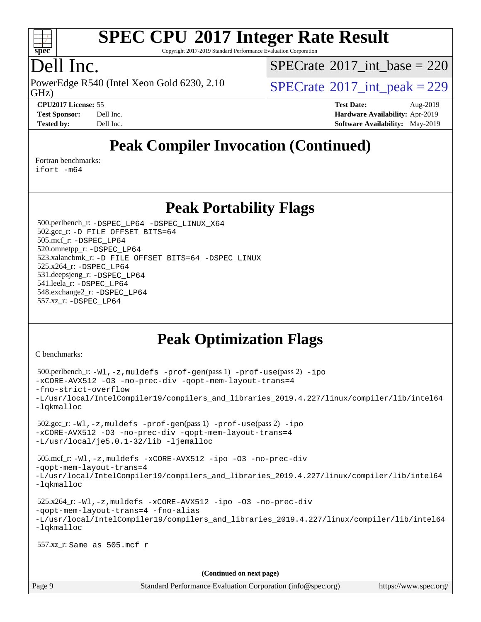

Copyright 2017-2019 Standard Performance Evaluation Corporation

### Dell Inc.

GHz) PowerEdge R540 (Intel Xeon Gold 6230, 2.10  $\text{SPECrate}^{\circ}2017\_int\_peak = 229$  $\text{SPECrate}^{\circ}2017\_int\_peak = 229$  $\text{SPECrate}^{\circ}2017\_int\_peak = 229$ 

 $SPECrate$ <sup>®</sup>[2017\\_int\\_base =](http://www.spec.org/auto/cpu2017/Docs/result-fields.html#SPECrate2017intbase) 220

**[CPU2017 License:](http://www.spec.org/auto/cpu2017/Docs/result-fields.html#CPU2017License)** 55 **[Test Date:](http://www.spec.org/auto/cpu2017/Docs/result-fields.html#TestDate)** Aug-2019 **[Test Sponsor:](http://www.spec.org/auto/cpu2017/Docs/result-fields.html#TestSponsor)** Dell Inc. **[Hardware Availability:](http://www.spec.org/auto/cpu2017/Docs/result-fields.html#HardwareAvailability)** Apr-2019 **[Tested by:](http://www.spec.org/auto/cpu2017/Docs/result-fields.html#Testedby)** Dell Inc. **[Software Availability:](http://www.spec.org/auto/cpu2017/Docs/result-fields.html#SoftwareAvailability)** May-2019

## **[Peak Compiler Invocation \(Continued\)](http://www.spec.org/auto/cpu2017/Docs/result-fields.html#PeakCompilerInvocation)**

[Fortran benchmarks](http://www.spec.org/auto/cpu2017/Docs/result-fields.html#Fortranbenchmarks):

[ifort -m64](http://www.spec.org/cpu2017/results/res2019q3/cpu2017-20190831-17316.flags.html#user_FCpeak_intel_ifort_64bit_24f2bb282fbaeffd6157abe4f878425411749daecae9a33200eee2bee2fe76f3b89351d69a8130dd5949958ce389cf37ff59a95e7a40d588e8d3a57e0c3fd751)

**[Peak Portability Flags](http://www.spec.org/auto/cpu2017/Docs/result-fields.html#PeakPortabilityFlags)**

 500.perlbench\_r: [-DSPEC\\_LP64](http://www.spec.org/cpu2017/results/res2019q3/cpu2017-20190831-17316.flags.html#b500.perlbench_r_peakPORTABILITY_DSPEC_LP64) [-DSPEC\\_LINUX\\_X64](http://www.spec.org/cpu2017/results/res2019q3/cpu2017-20190831-17316.flags.html#b500.perlbench_r_peakCPORTABILITY_DSPEC_LINUX_X64) 502.gcc\_r: [-D\\_FILE\\_OFFSET\\_BITS=64](http://www.spec.org/cpu2017/results/res2019q3/cpu2017-20190831-17316.flags.html#user_peakPORTABILITY502_gcc_r_file_offset_bits_64_5ae949a99b284ddf4e95728d47cb0843d81b2eb0e18bdfe74bbf0f61d0b064f4bda2f10ea5eb90e1dcab0e84dbc592acfc5018bc955c18609f94ddb8d550002c) 505.mcf\_r: [-DSPEC\\_LP64](http://www.spec.org/cpu2017/results/res2019q3/cpu2017-20190831-17316.flags.html#suite_peakPORTABILITY505_mcf_r_DSPEC_LP64) 520.omnetpp\_r: [-DSPEC\\_LP64](http://www.spec.org/cpu2017/results/res2019q3/cpu2017-20190831-17316.flags.html#suite_peakPORTABILITY520_omnetpp_r_DSPEC_LP64) 523.xalancbmk\_r: [-D\\_FILE\\_OFFSET\\_BITS=64](http://www.spec.org/cpu2017/results/res2019q3/cpu2017-20190831-17316.flags.html#user_peakPORTABILITY523_xalancbmk_r_file_offset_bits_64_5ae949a99b284ddf4e95728d47cb0843d81b2eb0e18bdfe74bbf0f61d0b064f4bda2f10ea5eb90e1dcab0e84dbc592acfc5018bc955c18609f94ddb8d550002c) [-DSPEC\\_LINUX](http://www.spec.org/cpu2017/results/res2019q3/cpu2017-20190831-17316.flags.html#b523.xalancbmk_r_peakCXXPORTABILITY_DSPEC_LINUX) 525.x264\_r: [-DSPEC\\_LP64](http://www.spec.org/cpu2017/results/res2019q3/cpu2017-20190831-17316.flags.html#suite_peakPORTABILITY525_x264_r_DSPEC_LP64) 531.deepsjeng\_r: [-DSPEC\\_LP64](http://www.spec.org/cpu2017/results/res2019q3/cpu2017-20190831-17316.flags.html#suite_peakPORTABILITY531_deepsjeng_r_DSPEC_LP64) 541.leela\_r: [-DSPEC\\_LP64](http://www.spec.org/cpu2017/results/res2019q3/cpu2017-20190831-17316.flags.html#suite_peakPORTABILITY541_leela_r_DSPEC_LP64) 548.exchange2\_r: [-DSPEC\\_LP64](http://www.spec.org/cpu2017/results/res2019q3/cpu2017-20190831-17316.flags.html#suite_peakPORTABILITY548_exchange2_r_DSPEC_LP64) 557.xz\_r: [-DSPEC\\_LP64](http://www.spec.org/cpu2017/results/res2019q3/cpu2017-20190831-17316.flags.html#suite_peakPORTABILITY557_xz_r_DSPEC_LP64)

## **[Peak Optimization Flags](http://www.spec.org/auto/cpu2017/Docs/result-fields.html#PeakOptimizationFlags)**

[C benchmarks](http://www.spec.org/auto/cpu2017/Docs/result-fields.html#Cbenchmarks):

```
 500.perlbench_r: -Wl,-z,muldefs -prof-gen(pass 1) -prof-use(pass 2) -ipo
-xCORE-AVX512 -O3 -no-prec-div -qopt-mem-layout-trans=4
-fno-strict-overflow
-L/usr/local/IntelCompiler19/compilers_and_libraries_2019.4.227/linux/compiler/lib/intel64
-lqkmalloc
 502.gcc_r: -Wl,-z,muldefs -prof-gen(pass 1) -prof-use(pass 2) -ipo
-xCORE-AVX512 -O3 -no-prec-div -qopt-mem-layout-trans=4
-L/usr/local/je5.0.1-32/lib -ljemalloc
 505.mcf_r: -Wl,-z,muldefs -xCORE-AVX512 -ipo -O3 -no-prec-div
-qopt-mem-layout-trans=4
-L/usr/local/IntelCompiler19/compilers_and_libraries_2019.4.227/linux/compiler/lib/intel64
-lqkmalloc
 525.x264_r: -Wl,-z,muldefs -xCORE-AVX512 -ipo -O3 -no-prec-div
-qopt-mem-layout-trans=4 -fno-alias
-L/usr/local/IntelCompiler19/compilers_and_libraries_2019.4.227/linux/compiler/lib/intel64
-lqkmalloc
 557.xz_r: Same as 505.mcf_r
                                      (Continued on next page)
```